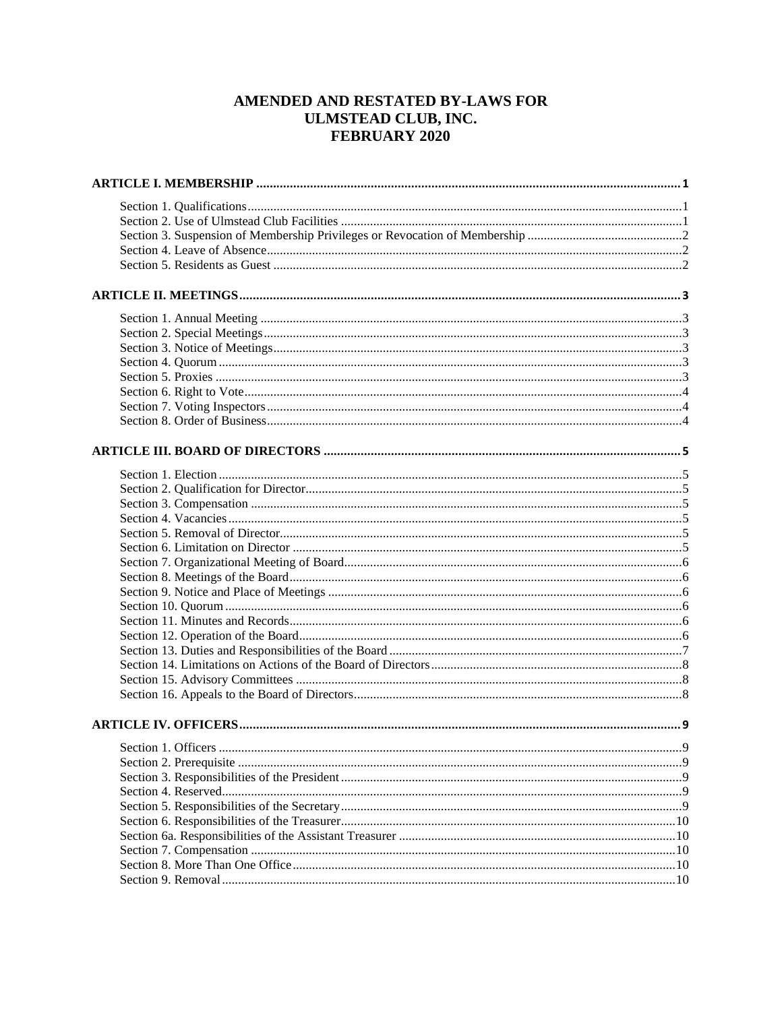# AMENDED AND RESTATED BY-LAWS FOR **ULMSTEAD CLUB, INC.** FEBRUARY 2020

| . 9 |
|-----|
|     |
|     |
|     |
|     |
|     |
|     |
|     |
|     |
|     |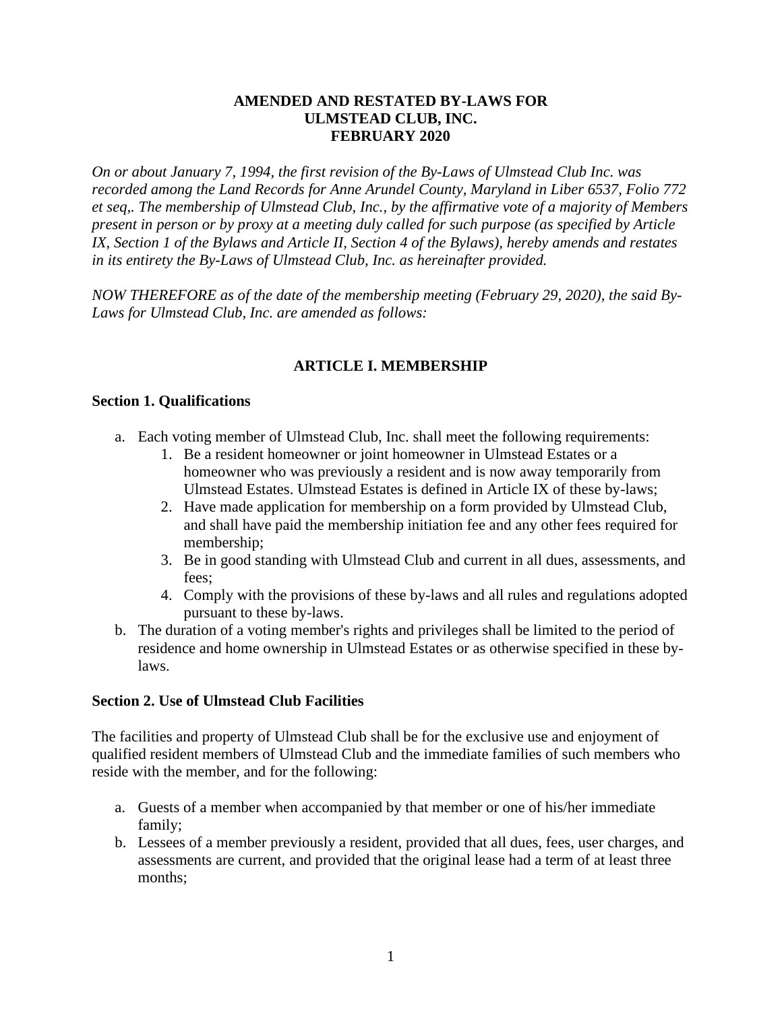## **AMENDED AND RESTATED BY-LAWS FOR ULMSTEAD CLUB, INC. FEBRUARY 2020**

*On or about January 7, 1994, the first revision of the By-Laws of Ulmstead Club Inc. was recorded among the Land Records for Anne Arundel County, Maryland in Liber 6537, Folio 772 et seq,. The membership of Ulmstead Club, Inc., by the affirmative vote of a majority of Members present in person or by proxy at a meeting duly called for such purpose (as specified by Article IX, Section 1 of the Bylaws and Article II, Section 4 of the Bylaws), hereby amends and restates in its entirety the By-Laws of Ulmstead Club, Inc. as hereinafter provided.*

<span id="page-2-0"></span>*NOW THEREFORE as of the date of the membership meeting (February 29, 2020), the said By-Laws for Ulmstead Club, Inc. are amended as follows:*

## **ARTICLE I. MEMBERSHIP**

## <span id="page-2-1"></span>**Section 1. Qualifications**

- a. Each voting member of Ulmstead Club, Inc. shall meet the following requirements:
	- 1. Be a resident homeowner or joint homeowner in Ulmstead Estates or a homeowner who was previously a resident and is now away temporarily from Ulmstead Estates. Ulmstead Estates is defined in Article IX of these by-laws;
	- 2. Have made application for membership on a form provided by Ulmstead Club, and shall have paid the membership initiation fee and any other fees required for membership;
	- 3. Be in good standing with Ulmstead Club and current in all dues, assessments, and fees;
	- 4. Comply with the provisions of these by-laws and all rules and regulations adopted pursuant to these by-laws.
- b. The duration of a voting member's rights and privileges shall be limited to the period of residence and home ownership in Ulmstead Estates or as otherwise specified in these bylaws.

## <span id="page-2-2"></span>**Section 2. Use of Ulmstead Club Facilities**

The facilities and property of Ulmstead Club shall be for the exclusive use and enjoyment of qualified resident members of Ulmstead Club and the immediate families of such members who reside with the member, and for the following:

- a. Guests of a member when accompanied by that member or one of his/her immediate family;
- b. Lessees of a member previously a resident, provided that all dues, fees, user charges, and assessments are current, and provided that the original lease had a term of at least three months;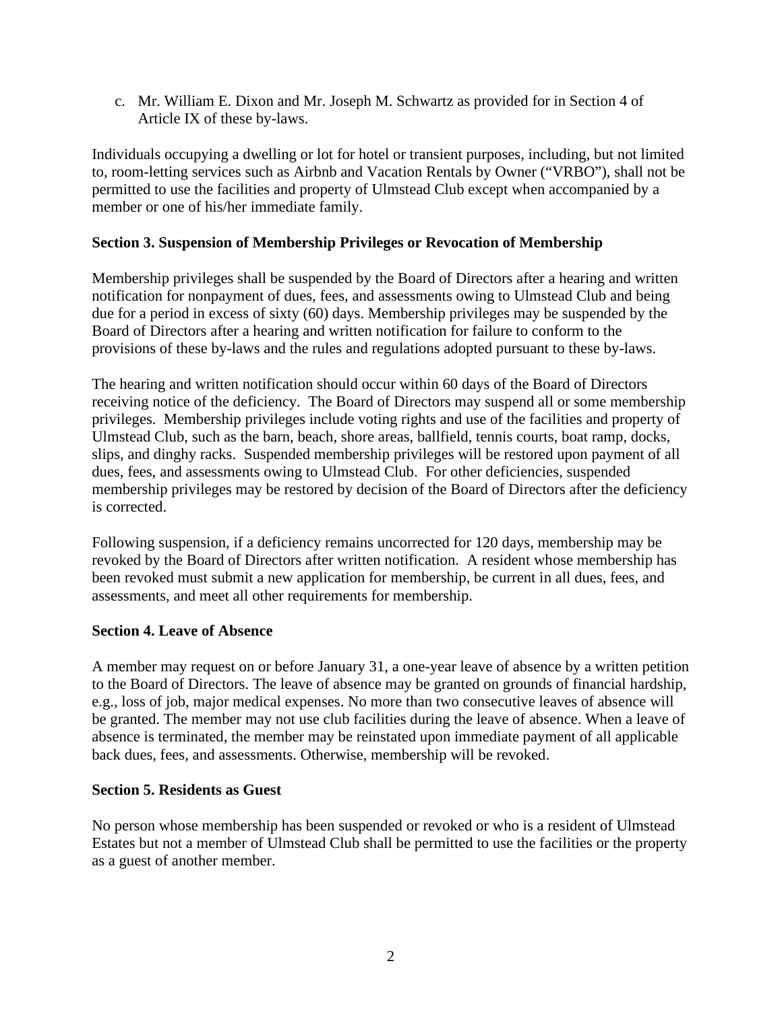c. Mr. William E. Dixon and Mr. Joseph M. Schwartz as provided for in Section 4 of Article IX of these by-laws.

Individuals occupying a dwelling or lot for hotel or transient purposes, including, but not limited to, room-letting services such as Airbnb and Vacation Rentals by Owner ("VRBO"), shall not be permitted to use the facilities and property of Ulmstead Club except when accompanied by a member or one of his/her immediate family.

## <span id="page-3-0"></span>**Section 3. Suspension of Membership Privileges or Revocation of Membership**

Membership privileges shall be suspended by the Board of Directors after a hearing and written notification for nonpayment of dues, fees, and assessments owing to Ulmstead Club and being due for a period in excess of sixty (60) days. Membership privileges may be suspended by the Board of Directors after a hearing and written notification for failure to conform to the provisions of these by-laws and the rules and regulations adopted pursuant to these by-laws.

The hearing and written notification should occur within 60 days of the Board of Directors receiving notice of the deficiency. The Board of Directors may suspend all or some membership privileges. Membership privileges include voting rights and use of the facilities and property of Ulmstead Club, such as the barn, beach, shore areas, ballfield, tennis courts, boat ramp, docks, slips, and dinghy racks. Suspended membership privileges will be restored upon payment of all dues, fees, and assessments owing to Ulmstead Club. For other deficiencies, suspended membership privileges may be restored by decision of the Board of Directors after the deficiency is corrected.

Following suspension, if a deficiency remains uncorrected for 120 days, membership may be revoked by the Board of Directors after written notification. A resident whose membership has been revoked must submit a new application for membership, be current in all dues, fees, and assessments, and meet all other requirements for membership.

### <span id="page-3-1"></span>**Section 4. Leave of Absence**

A member may request on or before January 31, a one-year leave of absence by a written petition to the Board of Directors. The leave of absence may be granted on grounds of financial hardship, e.g., loss of job, major medical expenses. No more than two consecutive leaves of absence will be granted. The member may not use club facilities during the leave of absence. When a leave of absence is terminated, the member may be reinstated upon immediate payment of all applicable back dues, fees, and assessments. Otherwise, membership will be revoked.

### <span id="page-3-2"></span>**Section 5. Residents as Guest**

No person whose membership has been suspended or revoked or who is a resident of Ulmstead Estates but not a member of Ulmstead Club shall be permitted to use the facilities or the property as a guest of another member.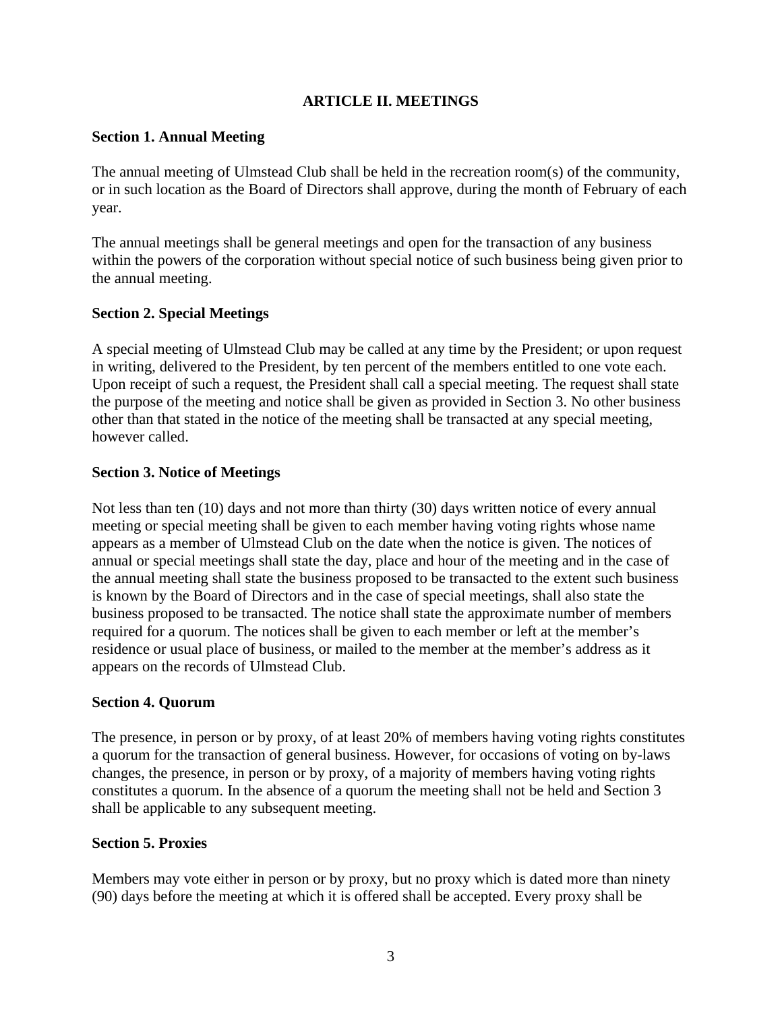## **ARTICLE II. MEETINGS**

## <span id="page-4-1"></span><span id="page-4-0"></span>**Section 1. Annual Meeting**

The annual meeting of Ulmstead Club shall be held in the recreation room(s) of the community, or in such location as the Board of Directors shall approve, during the month of February of each year.

The annual meetings shall be general meetings and open for the transaction of any business within the powers of the corporation without special notice of such business being given prior to the annual meeting.

## <span id="page-4-2"></span>**Section 2. Special Meetings**

A special meeting of Ulmstead Club may be called at any time by the President; or upon request in writing, delivered to the President, by ten percent of the members entitled to one vote each. Upon receipt of such a request, the President shall call a special meeting. The request shall state the purpose of the meeting and notice shall be given as provided in Section 3. No other business other than that stated in the notice of the meeting shall be transacted at any special meeting, however called.

### <span id="page-4-3"></span>**Section 3. Notice of Meetings**

Not less than ten (10) days and not more than thirty (30) days written notice of every annual meeting or special meeting shall be given to each member having voting rights whose name appears as a member of Ulmstead Club on the date when the notice is given. The notices of annual or special meetings shall state the day, place and hour of the meeting and in the case of the annual meeting shall state the business proposed to be transacted to the extent such business is known by the Board of Directors and in the case of special meetings, shall also state the business proposed to be transacted. The notice shall state the approximate number of members required for a quorum. The notices shall be given to each member or left at the member's residence or usual place of business, or mailed to the member at the member's address as it appears on the records of Ulmstead Club.

### <span id="page-4-4"></span>**Section 4. Quorum**

The presence, in person or by proxy, of at least 20% of members having voting rights constitutes a quorum for the transaction of general business. However, for occasions of voting on by-laws changes, the presence, in person or by proxy, of a majority of members having voting rights constitutes a quorum. In the absence of a quorum the meeting shall not be held and Section 3 shall be applicable to any subsequent meeting.

### <span id="page-4-5"></span>**Section 5. Proxies**

Members may vote either in person or by proxy, but no proxy which is dated more than ninety (90) days before the meeting at which it is offered shall be accepted. Every proxy shall be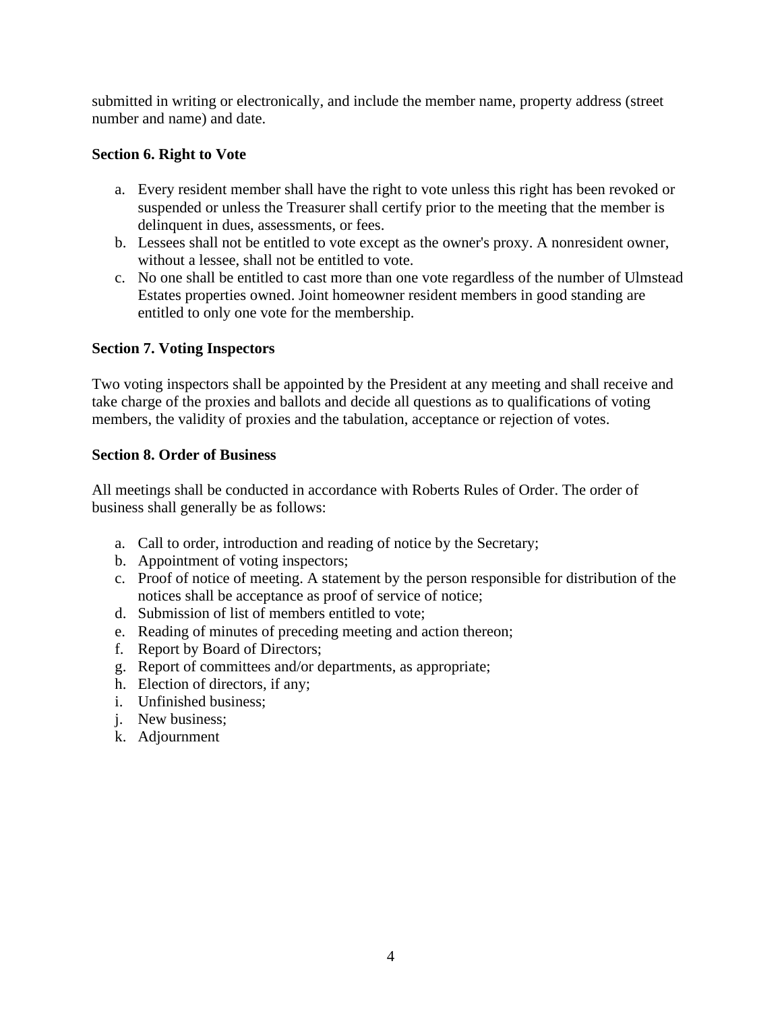submitted in writing or electronically, and include the member name, property address (street number and name) and date.

## <span id="page-5-0"></span>**Section 6. Right to Vote**

- a. Every resident member shall have the right to vote unless this right has been revoked or suspended or unless the Treasurer shall certify prior to the meeting that the member is delinquent in dues, assessments, or fees.
- b. Lessees shall not be entitled to vote except as the owner's proxy. A nonresident owner, without a lessee, shall not be entitled to vote.
- c. No one shall be entitled to cast more than one vote regardless of the number of Ulmstead Estates properties owned. Joint homeowner resident members in good standing are entitled to only one vote for the membership.

## <span id="page-5-1"></span>**Section 7. Voting Inspectors**

Two voting inspectors shall be appointed by the President at any meeting and shall receive and take charge of the proxies and ballots and decide all questions as to qualifications of voting members, the validity of proxies and the tabulation, acceptance or rejection of votes.

### <span id="page-5-2"></span>**Section 8. Order of Business**

All meetings shall be conducted in accordance with Roberts Rules of Order. The order of business shall generally be as follows:

- a. Call to order, introduction and reading of notice by the Secretary;
- b. Appointment of voting inspectors;
- c. Proof of notice of meeting. A statement by the person responsible for distribution of the notices shall be acceptance as proof of service of notice;
- d. Submission of list of members entitled to vote;
- e. Reading of minutes of preceding meeting and action thereon;
- f. Report by Board of Directors;
- g. Report of committees and/or departments, as appropriate;
- h. Election of directors, if any;
- i. Unfinished business;
- j. New business;
- k. Adjournment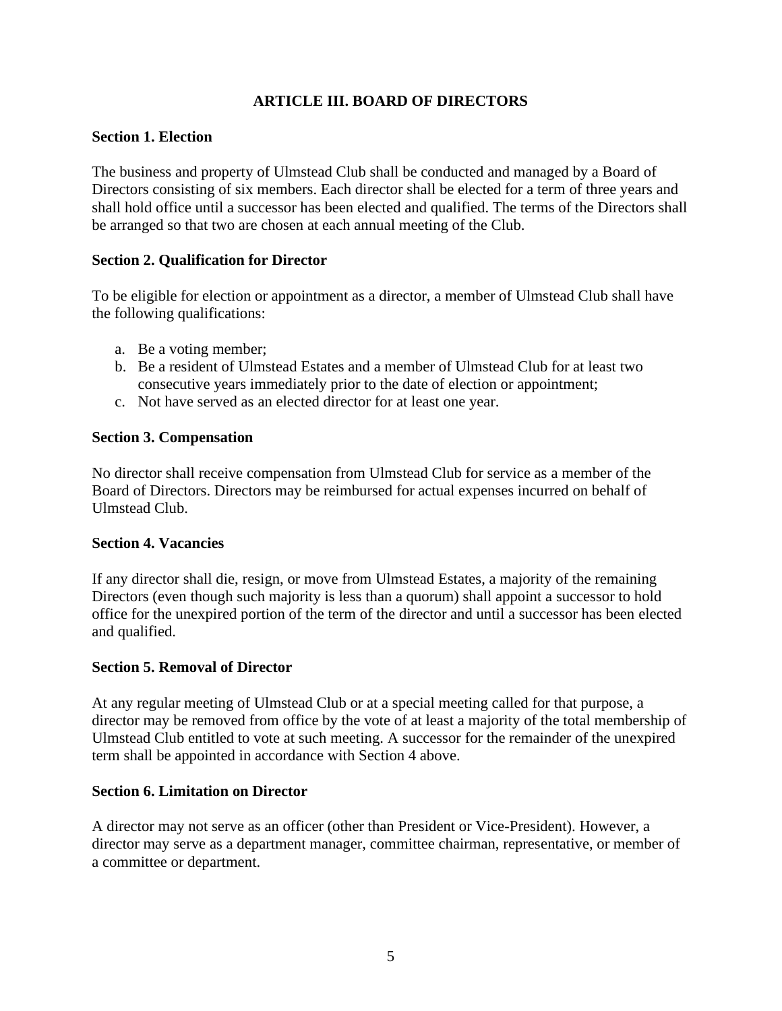# **ARTICLE III. BOARD OF DIRECTORS**

## <span id="page-6-1"></span><span id="page-6-0"></span>**Section 1. Election**

The business and property of Ulmstead Club shall be conducted and managed by a Board of Directors consisting of six members. Each director shall be elected for a term of three years and shall hold office until a successor has been elected and qualified. The terms of the Directors shall be arranged so that two are chosen at each annual meeting of the Club.

## <span id="page-6-2"></span>**Section 2. Qualification for Director**

To be eligible for election or appointment as a director, a member of Ulmstead Club shall have the following qualifications:

- a. Be a voting member;
- b. Be a resident of Ulmstead Estates and a member of Ulmstead Club for at least two consecutive years immediately prior to the date of election or appointment;
- c. Not have served as an elected director for at least one year.

## <span id="page-6-3"></span>**Section 3. Compensation**

No director shall receive compensation from Ulmstead Club for service as a member of the Board of Directors. Directors may be reimbursed for actual expenses incurred on behalf of Ulmstead Club.

### <span id="page-6-4"></span>**Section 4. Vacancies**

If any director shall die, resign, or move from Ulmstead Estates, a majority of the remaining Directors (even though such majority is less than a quorum) shall appoint a successor to hold office for the unexpired portion of the term of the director and until a successor has been elected and qualified.

### <span id="page-6-5"></span>**Section 5. Removal of Director**

At any regular meeting of Ulmstead Club or at a special meeting called for that purpose, a director may be removed from office by the vote of at least a majority of the total membership of Ulmstead Club entitled to vote at such meeting. A successor for the remainder of the unexpired term shall be appointed in accordance with Section 4 above.

### <span id="page-6-6"></span>**Section 6. Limitation on Director**

A director may not serve as an officer (other than President or Vice-President). However, a director may serve as a department manager, committee chairman, representative, or member of a committee or department.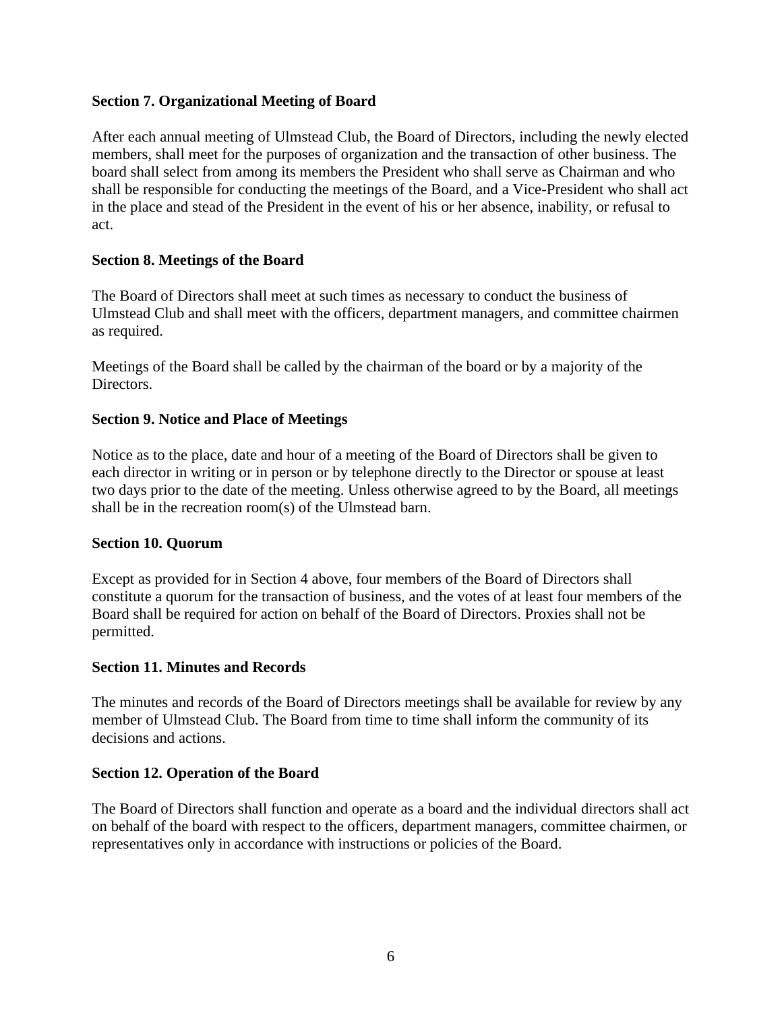## <span id="page-7-0"></span>**Section 7. Organizational Meeting of Board**

After each annual meeting of Ulmstead Club, the Board of Directors, including the newly elected members, shall meet for the purposes of organization and the transaction of other business. The board shall select from among its members the President who shall serve as Chairman and who shall be responsible for conducting the meetings of the Board, and a Vice-President who shall act in the place and stead of the President in the event of his or her absence, inability, or refusal to act.

## <span id="page-7-1"></span>**Section 8. Meetings of the Board**

The Board of Directors shall meet at such times as necessary to conduct the business of Ulmstead Club and shall meet with the officers, department managers, and committee chairmen as required.

Meetings of the Board shall be called by the chairman of the board or by a majority of the Directors.

### <span id="page-7-2"></span>**Section 9. Notice and Place of Meetings**

Notice as to the place, date and hour of a meeting of the Board of Directors shall be given to each director in writing or in person or by telephone directly to the Director or spouse at least two days prior to the date of the meeting. Unless otherwise agreed to by the Board, all meetings shall be in the recreation room(s) of the Ulmstead barn.

### <span id="page-7-3"></span>**Section 10. Quorum**

Except as provided for in Section 4 above, four members of the Board of Directors shall constitute a quorum for the transaction of business, and the votes of at least four members of the Board shall be required for action on behalf of the Board of Directors. Proxies shall not be permitted.

### <span id="page-7-4"></span>**Section 11. Minutes and Records**

The minutes and records of the Board of Directors meetings shall be available for review by any member of Ulmstead Club. The Board from time to time shall inform the community of its decisions and actions.

### <span id="page-7-5"></span>**Section 12. Operation of the Board**

The Board of Directors shall function and operate as a board and the individual directors shall act on behalf of the board with respect to the officers, department managers, committee chairmen, or representatives only in accordance with instructions or policies of the Board.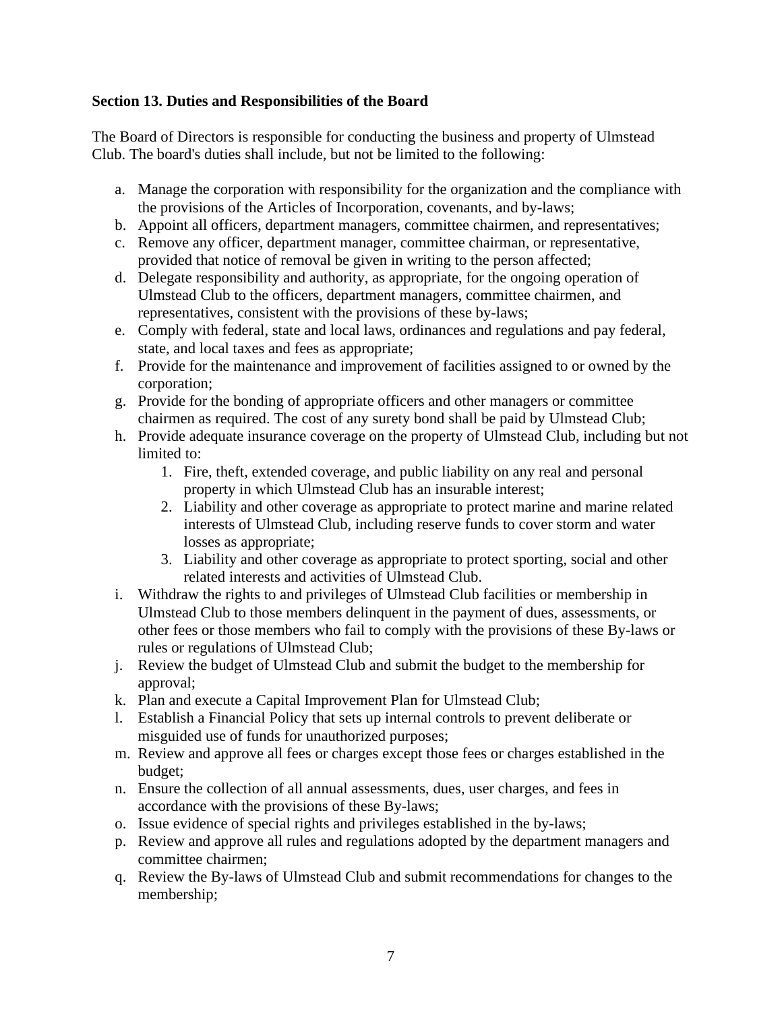## <span id="page-8-0"></span>**Section 13. Duties and Responsibilities of the Board**

The Board of Directors is responsible for conducting the business and property of Ulmstead Club. The board's duties shall include, but not be limited to the following:

- a. Manage the corporation with responsibility for the organization and the compliance with the provisions of the Articles of Incorporation, covenants, and by-laws;
- b. Appoint all officers, department managers, committee chairmen, and representatives;
- c. Remove any officer, department manager, committee chairman, or representative, provided that notice of removal be given in writing to the person affected;
- d. Delegate responsibility and authority, as appropriate, for the ongoing operation of Ulmstead Club to the officers, department managers, committee chairmen, and representatives, consistent with the provisions of these by-laws;
- e. Comply with federal, state and local laws, ordinances and regulations and pay federal, state, and local taxes and fees as appropriate;
- f. Provide for the maintenance and improvement of facilities assigned to or owned by the corporation;
- g. Provide for the bonding of appropriate officers and other managers or committee chairmen as required. The cost of any surety bond shall be paid by Ulmstead Club;
- h. Provide adequate insurance coverage on the property of Ulmstead Club, including but not limited to:
	- 1. Fire, theft, extended coverage, and public liability on any real and personal property in which Ulmstead Club has an insurable interest;
	- 2. Liability and other coverage as appropriate to protect marine and marine related interests of Ulmstead Club, including reserve funds to cover storm and water losses as appropriate;
	- 3. Liability and other coverage as appropriate to protect sporting, social and other related interests and activities of Ulmstead Club.
- i. Withdraw the rights to and privileges of Ulmstead Club facilities or membership in Ulmstead Club to those members delinquent in the payment of dues, assessments, or other fees or those members who fail to comply with the provisions of these By-laws or rules or regulations of Ulmstead Club;
- j. Review the budget of Ulmstead Club and submit the budget to the membership for approval;
- k. Plan and execute a Capital Improvement Plan for Ulmstead Club;
- l. Establish a Financial Policy that sets up internal controls to prevent deliberate or misguided use of funds for unauthorized purposes;
- m. Review and approve all fees or charges except those fees or charges established in the budget;
- n. Ensure the collection of all annual assessments, dues, user charges, and fees in accordance with the provisions of these By-laws;
- o. Issue evidence of special rights and privileges established in the by-laws;
- p. Review and approve all rules and regulations adopted by the department managers and committee chairmen;
- q. Review the By-laws of Ulmstead Club and submit recommendations for changes to the membership;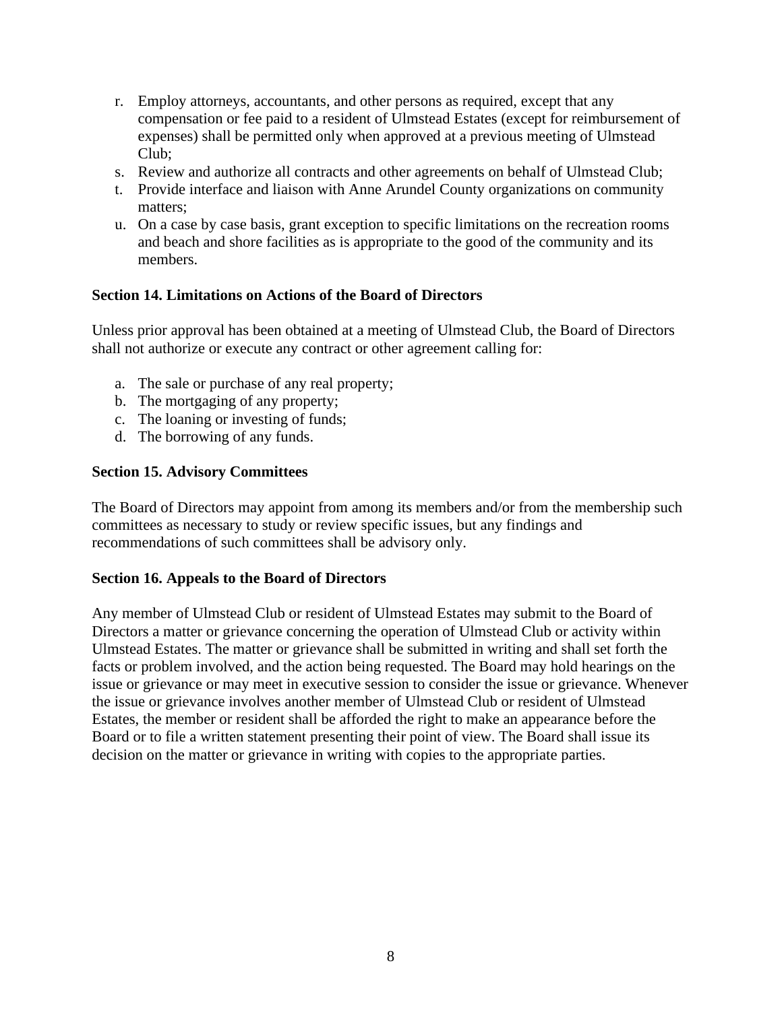- r. Employ attorneys, accountants, and other persons as required, except that any compensation or fee paid to a resident of Ulmstead Estates (except for reimbursement of expenses) shall be permitted only when approved at a previous meeting of Ulmstead Club;
- s. Review and authorize all contracts and other agreements on behalf of Ulmstead Club;
- t. Provide interface and liaison with Anne Arundel County organizations on community matters;
- u. On a case by case basis, grant exception to specific limitations on the recreation rooms and beach and shore facilities as is appropriate to the good of the community and its members.

## <span id="page-9-0"></span>**Section 14. Limitations on Actions of the Board of Directors**

Unless prior approval has been obtained at a meeting of Ulmstead Club, the Board of Directors shall not authorize or execute any contract or other agreement calling for:

- a. The sale or purchase of any real property;
- b. The mortgaging of any property;
- c. The loaning or investing of funds;
- d. The borrowing of any funds.

### <span id="page-9-1"></span>**Section 15. Advisory Committees**

The Board of Directors may appoint from among its members and/or from the membership such committees as necessary to study or review specific issues, but any findings and recommendations of such committees shall be advisory only.

### <span id="page-9-2"></span>**Section 16. Appeals to the Board of Directors**

Any member of Ulmstead Club or resident of Ulmstead Estates may submit to the Board of Directors a matter or grievance concerning the operation of Ulmstead Club or activity within Ulmstead Estates. The matter or grievance shall be submitted in writing and shall set forth the facts or problem involved, and the action being requested. The Board may hold hearings on the issue or grievance or may meet in executive session to consider the issue or grievance. Whenever the issue or grievance involves another member of Ulmstead Club or resident of Ulmstead Estates, the member or resident shall be afforded the right to make an appearance before the Board or to file a written statement presenting their point of view. The Board shall issue its decision on the matter or grievance in writing with copies to the appropriate parties.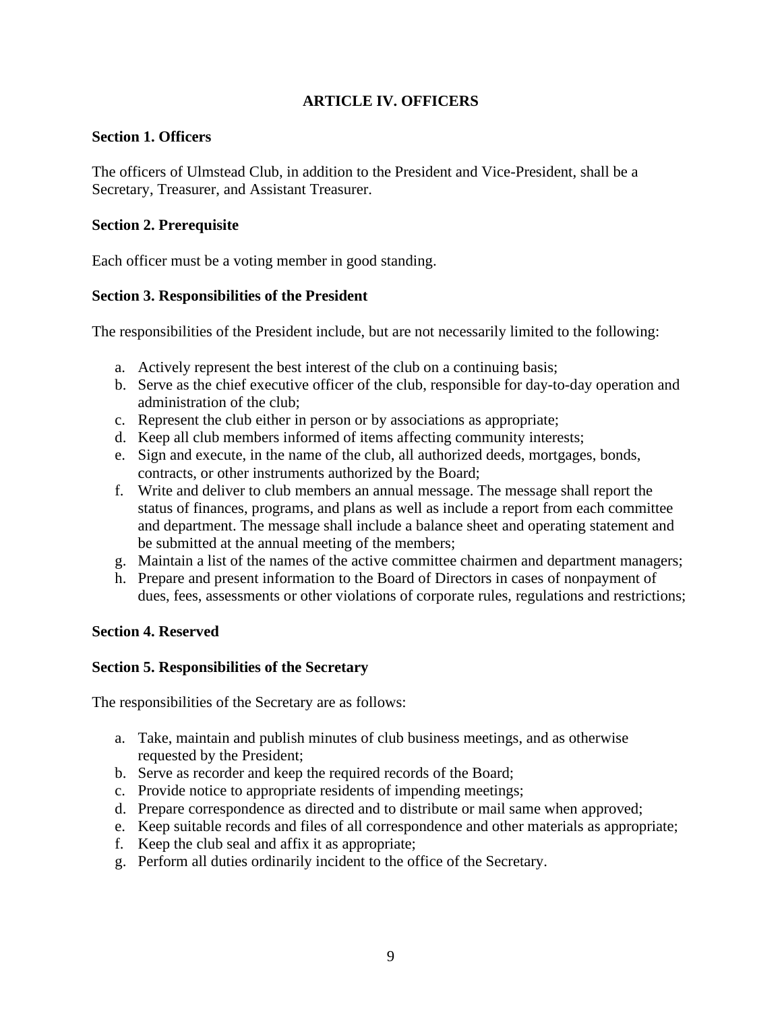# **ARTICLE IV. OFFICERS**

## <span id="page-10-1"></span><span id="page-10-0"></span>**Section 1. Officers**

The officers of Ulmstead Club, in addition to the President and Vice-President, shall be a Secretary, Treasurer, and Assistant Treasurer.

## <span id="page-10-2"></span>**Section 2. Prerequisite**

Each officer must be a voting member in good standing.

## <span id="page-10-3"></span>**Section 3. Responsibilities of the President**

The responsibilities of the President include, but are not necessarily limited to the following:

- a. Actively represent the best interest of the club on a continuing basis;
- b. Serve as the chief executive officer of the club, responsible for day-to-day operation and administration of the club;
- c. Represent the club either in person or by associations as appropriate;
- d. Keep all club members informed of items affecting community interests;
- e. Sign and execute, in the name of the club, all authorized deeds, mortgages, bonds, contracts, or other instruments authorized by the Board;
- f. Write and deliver to club members an annual message. The message shall report the status of finances, programs, and plans as well as include a report from each committee and department. The message shall include a balance sheet and operating statement and be submitted at the annual meeting of the members;
- g. Maintain a list of the names of the active committee chairmen and department managers;
- h. Prepare and present information to the Board of Directors in cases of nonpayment of dues, fees, assessments or other violations of corporate rules, regulations and restrictions;

### <span id="page-10-4"></span>**Section 4. Reserved**

### <span id="page-10-5"></span>**Section 5. Responsibilities of the Secretary**

The responsibilities of the Secretary are as follows:

- a. Take, maintain and publish minutes of club business meetings, and as otherwise requested by the President;
- b. Serve as recorder and keep the required records of the Board;
- c. Provide notice to appropriate residents of impending meetings;
- d. Prepare correspondence as directed and to distribute or mail same when approved;
- e. Keep suitable records and files of all correspondence and other materials as appropriate;
- f. Keep the club seal and affix it as appropriate;
- g. Perform all duties ordinarily incident to the office of the Secretary.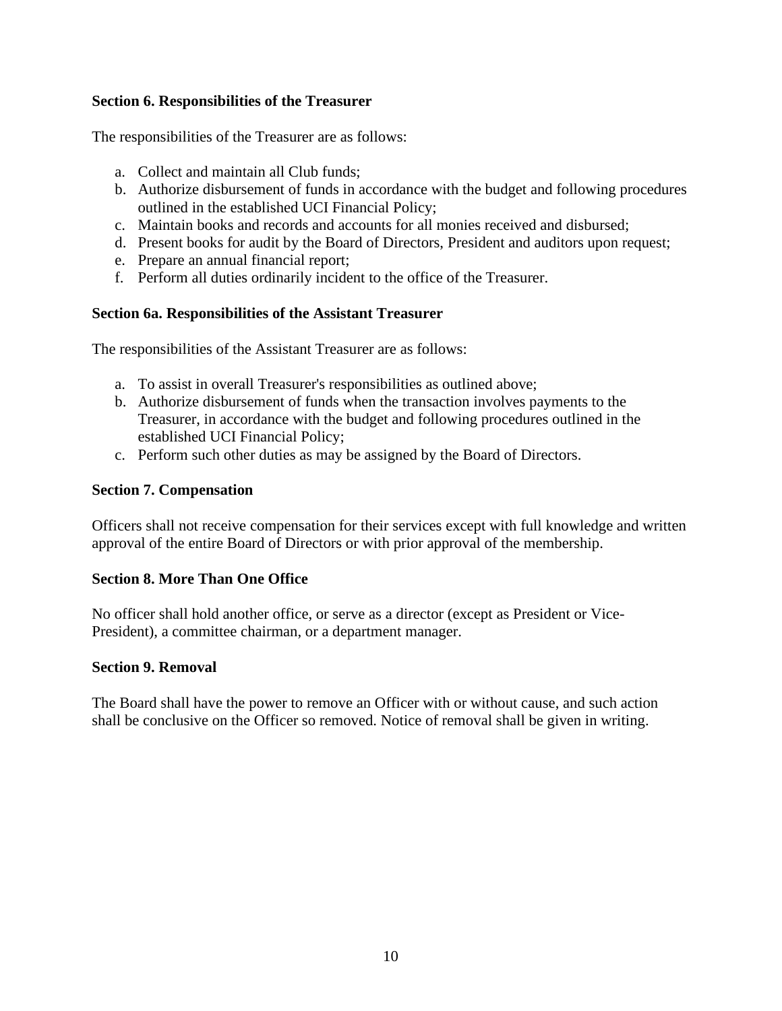## <span id="page-11-0"></span>**Section 6. Responsibilities of the Treasurer**

The responsibilities of the Treasurer are as follows:

- a. Collect and maintain all Club funds;
- b. Authorize disbursement of funds in accordance with the budget and following procedures outlined in the established UCI Financial Policy;
- c. Maintain books and records and accounts for all monies received and disbursed;
- d. Present books for audit by the Board of Directors, President and auditors upon request;
- e. Prepare an annual financial report;
- f. Perform all duties ordinarily incident to the office of the Treasurer.

## <span id="page-11-1"></span>**Section 6a. Responsibilities of the Assistant Treasurer**

The responsibilities of the Assistant Treasurer are as follows:

- a. To assist in overall Treasurer's responsibilities as outlined above;
- b. Authorize disbursement of funds when the transaction involves payments to the Treasurer, in accordance with the budget and following procedures outlined in the established UCI Financial Policy;
- c. Perform such other duties as may be assigned by the Board of Directors.

### <span id="page-11-2"></span>**Section 7. Compensation**

Officers shall not receive compensation for their services except with full knowledge and written approval of the entire Board of Directors or with prior approval of the membership.

### <span id="page-11-3"></span>**Section 8. More Than One Office**

No officer shall hold another office, or serve as a director (except as President or Vice-President), a committee chairman, or a department manager.

### <span id="page-11-4"></span>**Section 9. Removal**

The Board shall have the power to remove an Officer with or without cause, and such action shall be conclusive on the Officer so removed. Notice of removal shall be given in writing.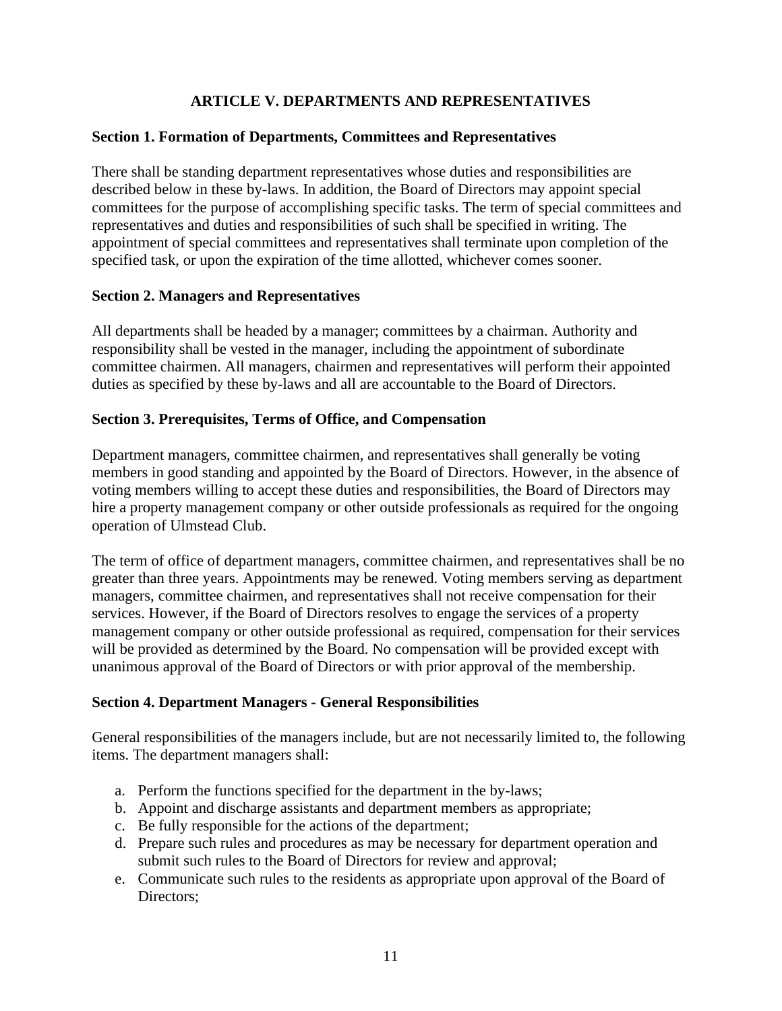# **ARTICLE V. DEPARTMENTS AND REPRESENTATIVES**

## <span id="page-12-1"></span><span id="page-12-0"></span>**Section 1. Formation of Departments, Committees and Representatives**

There shall be standing department representatives whose duties and responsibilities are described below in these by-laws. In addition, the Board of Directors may appoint special committees for the purpose of accomplishing specific tasks. The term of special committees and representatives and duties and responsibilities of such shall be specified in writing. The appointment of special committees and representatives shall terminate upon completion of the specified task, or upon the expiration of the time allotted, whichever comes sooner.

### <span id="page-12-2"></span>**Section 2. Managers and Representatives**

All departments shall be headed by a manager; committees by a chairman. Authority and responsibility shall be vested in the manager, including the appointment of subordinate committee chairmen. All managers, chairmen and representatives will perform their appointed duties as specified by these by-laws and all are accountable to the Board of Directors.

## <span id="page-12-3"></span>**Section 3. Prerequisites, Terms of Office, and Compensation**

Department managers, committee chairmen, and representatives shall generally be voting members in good standing and appointed by the Board of Directors. However, in the absence of voting members willing to accept these duties and responsibilities, the Board of Directors may hire a property management company or other outside professionals as required for the ongoing operation of Ulmstead Club.

The term of office of department managers, committee chairmen, and representatives shall be no greater than three years. Appointments may be renewed. Voting members serving as department managers, committee chairmen, and representatives shall not receive compensation for their services. However, if the Board of Directors resolves to engage the services of a property management company or other outside professional as required, compensation for their services will be provided as determined by the Board. No compensation will be provided except with unanimous approval of the Board of Directors or with prior approval of the membership.

## <span id="page-12-4"></span>**Section 4. Department Managers - General Responsibilities**

General responsibilities of the managers include, but are not necessarily limited to, the following items. The department managers shall:

- a. Perform the functions specified for the department in the by-laws;
- b. Appoint and discharge assistants and department members as appropriate;
- c. Be fully responsible for the actions of the department;
- d. Prepare such rules and procedures as may be necessary for department operation and submit such rules to the Board of Directors for review and approval;
- e. Communicate such rules to the residents as appropriate upon approval of the Board of Directors: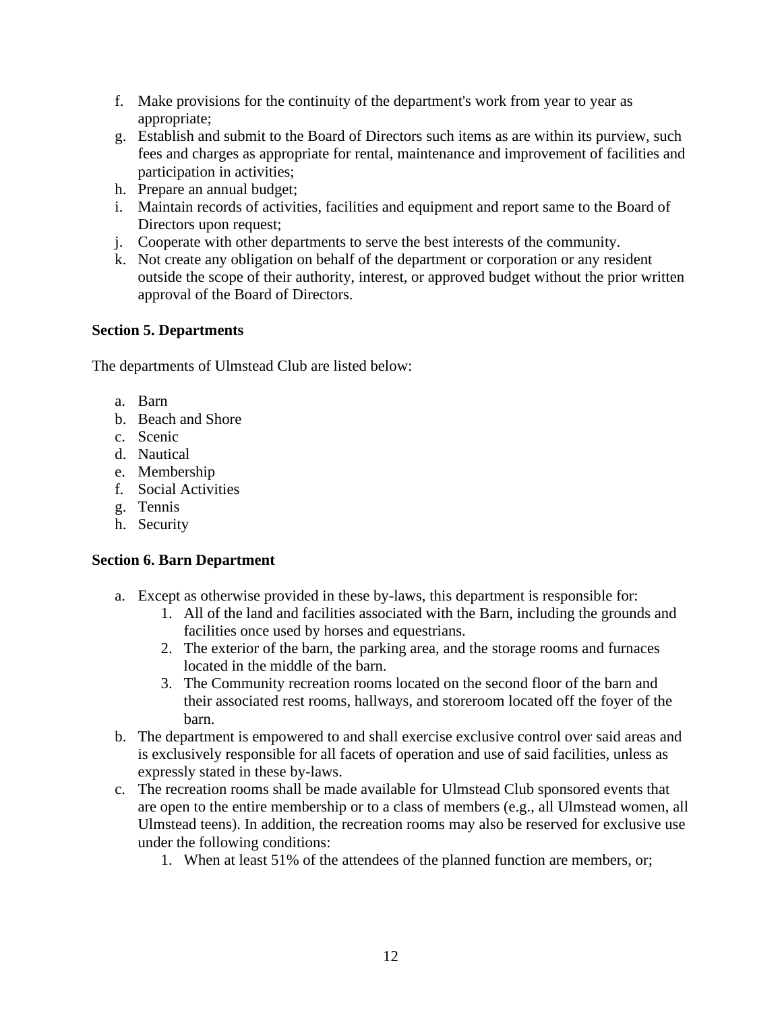- f. Make provisions for the continuity of the department's work from year to year as appropriate;
- g. Establish and submit to the Board of Directors such items as are within its purview, such fees and charges as appropriate for rental, maintenance and improvement of facilities and participation in activities;
- h. Prepare an annual budget;
- i. Maintain records of activities, facilities and equipment and report same to the Board of Directors upon request;
- j. Cooperate with other departments to serve the best interests of the community.
- k. Not create any obligation on behalf of the department or corporation or any resident outside the scope of their authority, interest, or approved budget without the prior written approval of the Board of Directors.

## <span id="page-13-0"></span>**Section 5. Departments**

The departments of Ulmstead Club are listed below:

- a. Barn
- b. Beach and Shore
- c. Scenic
- d. Nautical
- e. Membership
- f. Social Activities
- g. Tennis
- h. Security

## <span id="page-13-1"></span>**Section 6. Barn Department**

- a. Except as otherwise provided in these by-laws, this department is responsible for:
	- 1. All of the land and facilities associated with the Barn, including the grounds and facilities once used by horses and equestrians.
	- 2. The exterior of the barn, the parking area, and the storage rooms and furnaces located in the middle of the barn.
	- 3. The Community recreation rooms located on the second floor of the barn and their associated rest rooms, hallways, and storeroom located off the foyer of the barn.
- b. The department is empowered to and shall exercise exclusive control over said areas and is exclusively responsible for all facets of operation and use of said facilities, unless as expressly stated in these by-laws.
- c. The recreation rooms shall be made available for Ulmstead Club sponsored events that are open to the entire membership or to a class of members (e.g., all Ulmstead women, all Ulmstead teens). In addition, the recreation rooms may also be reserved for exclusive use under the following conditions:
	- 1. When at least 51% of the attendees of the planned function are members, or;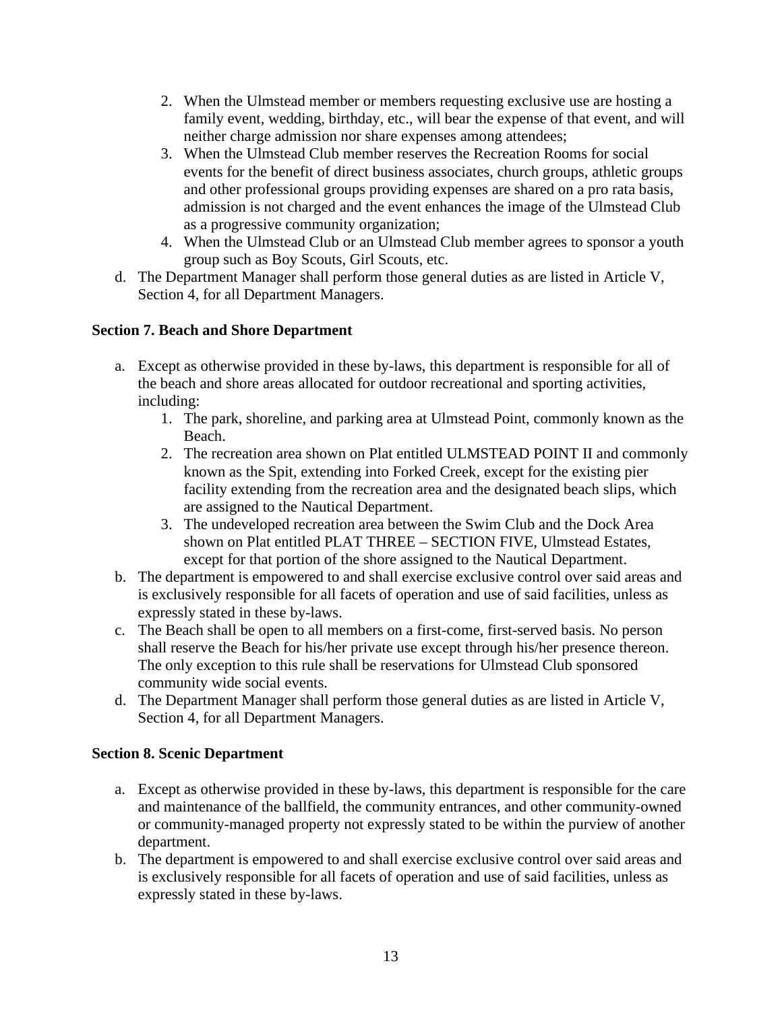- 2. When the Ulmstead member or members requesting exclusive use are hosting a family event, wedding, birthday, etc., will bear the expense of that event, and will neither charge admission nor share expenses among attendees;
- 3. When the Ulmstead Club member reserves the Recreation Rooms for social events for the benefit of direct business associates, church groups, athletic groups and other professional groups providing expenses are shared on a pro rata basis, admission is not charged and the event enhances the image of the Ulmstead Club as a progressive community organization;
- 4. When the Ulmstead Club or an Ulmstead Club member agrees to sponsor a youth group such as Boy Scouts, Girl Scouts, etc.
- d. The Department Manager shall perform those general duties as are listed in Article V, Section 4, for all Department Managers.

# <span id="page-14-0"></span>**Section 7. Beach and Shore Department**

- a. Except as otherwise provided in these by-laws, this department is responsible for all of the beach and shore areas allocated for outdoor recreational and sporting activities, including:
	- 1. The park, shoreline, and parking area at Ulmstead Point, commonly known as the Beach.
	- 2. The recreation area shown on Plat entitled ULMSTEAD POINT II and commonly known as the Spit, extending into Forked Creek, except for the existing pier facility extending from the recreation area and the designated beach slips, which are assigned to the Nautical Department.
	- 3. The undeveloped recreation area between the Swim Club and the Dock Area shown on Plat entitled PLAT THREE – SECTION FIVE, Ulmstead Estates, except for that portion of the shore assigned to the Nautical Department.
- b. The department is empowered to and shall exercise exclusive control over said areas and is exclusively responsible for all facets of operation and use of said facilities, unless as expressly stated in these by-laws.
- c. The Beach shall be open to all members on a first-come, first-served basis. No person shall reserve the Beach for his/her private use except through his/her presence thereon. The only exception to this rule shall be reservations for Ulmstead Club sponsored community wide social events.
- d. The Department Manager shall perform those general duties as are listed in Article V, Section 4, for all Department Managers.

## <span id="page-14-1"></span>**Section 8. Scenic Department**

- a. Except as otherwise provided in these by-laws, this department is responsible for the care and maintenance of the ballfield, the community entrances, and other community-owned or community-managed property not expressly stated to be within the purview of another department.
- b. The department is empowered to and shall exercise exclusive control over said areas and is exclusively responsible for all facets of operation and use of said facilities, unless as expressly stated in these by-laws.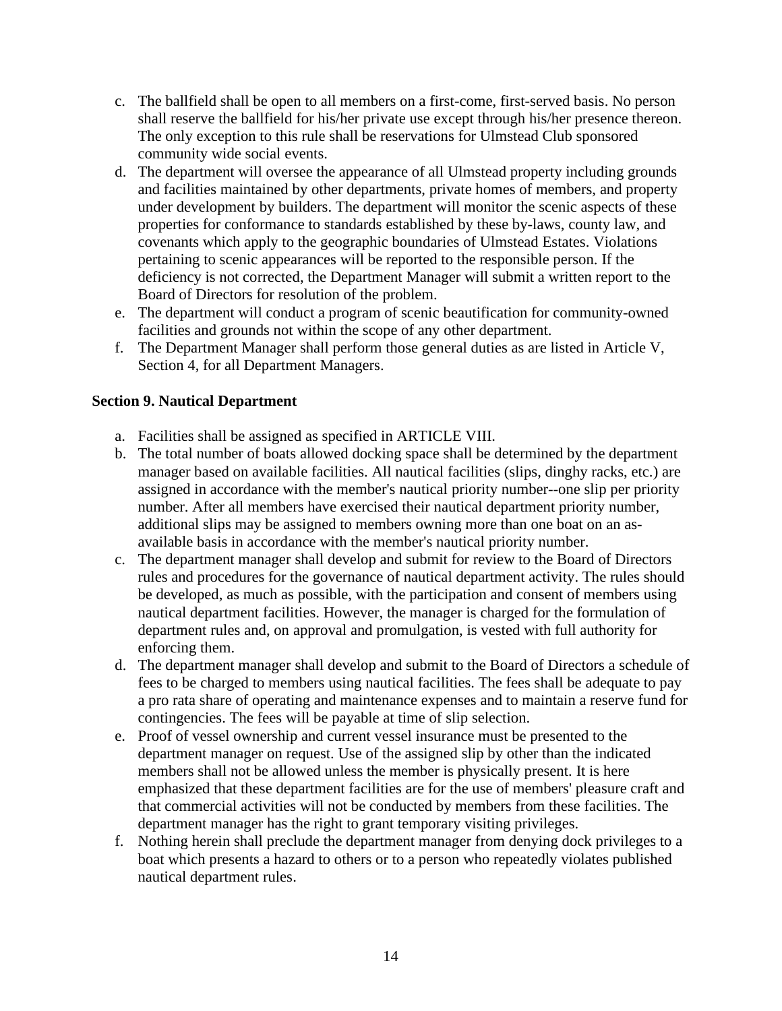- c. The ballfield shall be open to all members on a first-come, first-served basis. No person shall reserve the ballfield for his/her private use except through his/her presence thereon. The only exception to this rule shall be reservations for Ulmstead Club sponsored community wide social events.
- d. The department will oversee the appearance of all Ulmstead property including grounds and facilities maintained by other departments, private homes of members, and property under development by builders. The department will monitor the scenic aspects of these properties for conformance to standards established by these by-laws, county law, and covenants which apply to the geographic boundaries of Ulmstead Estates. Violations pertaining to scenic appearances will be reported to the responsible person. If the deficiency is not corrected, the Department Manager will submit a written report to the Board of Directors for resolution of the problem.
- e. The department will conduct a program of scenic beautification for community-owned facilities and grounds not within the scope of any other department.
- f. The Department Manager shall perform those general duties as are listed in Article V, Section 4, for all Department Managers.

## <span id="page-15-0"></span>**Section 9. Nautical Department**

- a. Facilities shall be assigned as specified in ARTICLE VIII.
- b. The total number of boats allowed docking space shall be determined by the department manager based on available facilities. All nautical facilities (slips, dinghy racks, etc.) are assigned in accordance with the member's nautical priority number--one slip per priority number. After all members have exercised their nautical department priority number, additional slips may be assigned to members owning more than one boat on an asavailable basis in accordance with the member's nautical priority number.
- c. The department manager shall develop and submit for review to the Board of Directors rules and procedures for the governance of nautical department activity. The rules should be developed, as much as possible, with the participation and consent of members using nautical department facilities. However, the manager is charged for the formulation of department rules and, on approval and promulgation, is vested with full authority for enforcing them.
- d. The department manager shall develop and submit to the Board of Directors a schedule of fees to be charged to members using nautical facilities. The fees shall be adequate to pay a pro rata share of operating and maintenance expenses and to maintain a reserve fund for contingencies. The fees will be payable at time of slip selection.
- e. Proof of vessel ownership and current vessel insurance must be presented to the department manager on request. Use of the assigned slip by other than the indicated members shall not be allowed unless the member is physically present. It is here emphasized that these department facilities are for the use of members' pleasure craft and that commercial activities will not be conducted by members from these facilities. The department manager has the right to grant temporary visiting privileges.
- f. Nothing herein shall preclude the department manager from denying dock privileges to a boat which presents a hazard to others or to a person who repeatedly violates published nautical department rules.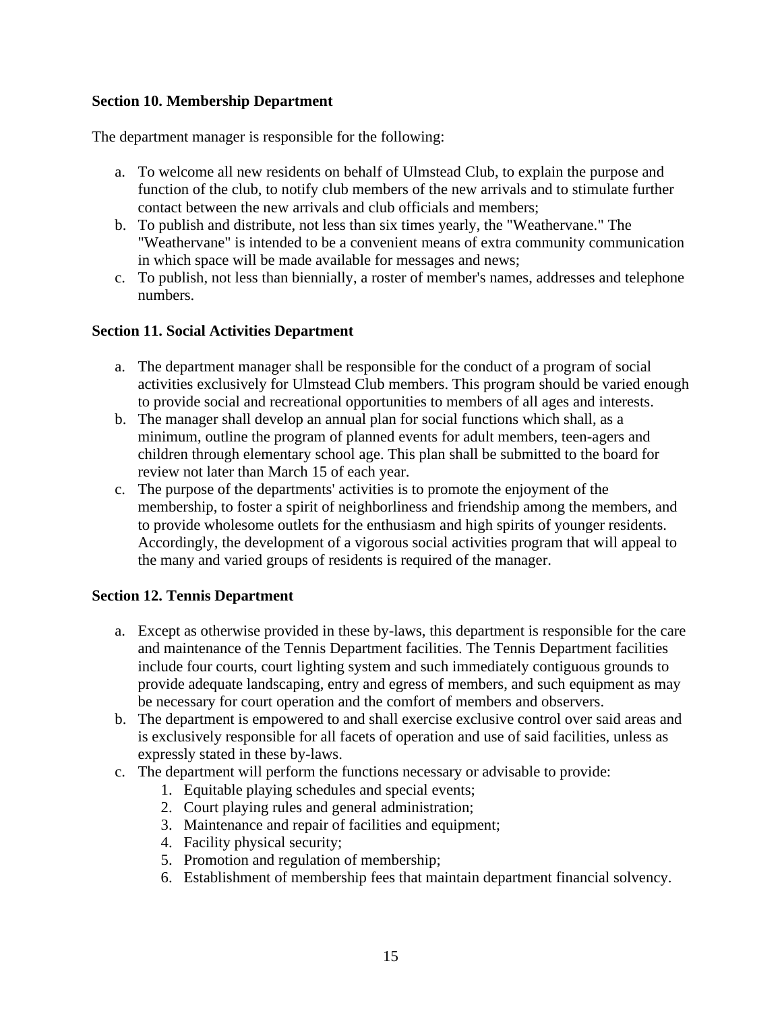## <span id="page-16-0"></span>**Section 10. Membership Department**

The department manager is responsible for the following:

- a. To welcome all new residents on behalf of Ulmstead Club, to explain the purpose and function of the club, to notify club members of the new arrivals and to stimulate further contact between the new arrivals and club officials and members;
- b. To publish and distribute, not less than six times yearly, the "Weathervane." The "Weathervane" is intended to be a convenient means of extra community communication in which space will be made available for messages and news;
- c. To publish, not less than biennially, a roster of member's names, addresses and telephone numbers.

## <span id="page-16-1"></span>**Section 11. Social Activities Department**

- a. The department manager shall be responsible for the conduct of a program of social activities exclusively for Ulmstead Club members. This program should be varied enough to provide social and recreational opportunities to members of all ages and interests.
- b. The manager shall develop an annual plan for social functions which shall, as a minimum, outline the program of planned events for adult members, teen-agers and children through elementary school age. This plan shall be submitted to the board for review not later than March 15 of each year.
- c. The purpose of the departments' activities is to promote the enjoyment of the membership, to foster a spirit of neighborliness and friendship among the members, and to provide wholesome outlets for the enthusiasm and high spirits of younger residents. Accordingly, the development of a vigorous social activities program that will appeal to the many and varied groups of residents is required of the manager.

### <span id="page-16-2"></span>**Section 12. Tennis Department**

- a. Except as otherwise provided in these by-laws, this department is responsible for the care and maintenance of the Tennis Department facilities. The Tennis Department facilities include four courts, court lighting system and such immediately contiguous grounds to provide adequate landscaping, entry and egress of members, and such equipment as may be necessary for court operation and the comfort of members and observers.
- b. The department is empowered to and shall exercise exclusive control over said areas and is exclusively responsible for all facets of operation and use of said facilities, unless as expressly stated in these by-laws.
- c. The department will perform the functions necessary or advisable to provide:
	- 1. Equitable playing schedules and special events;
	- 2. Court playing rules and general administration;
	- 3. Maintenance and repair of facilities and equipment;
	- 4. Facility physical security;
	- 5. Promotion and regulation of membership;
	- 6. Establishment of membership fees that maintain department financial solvency.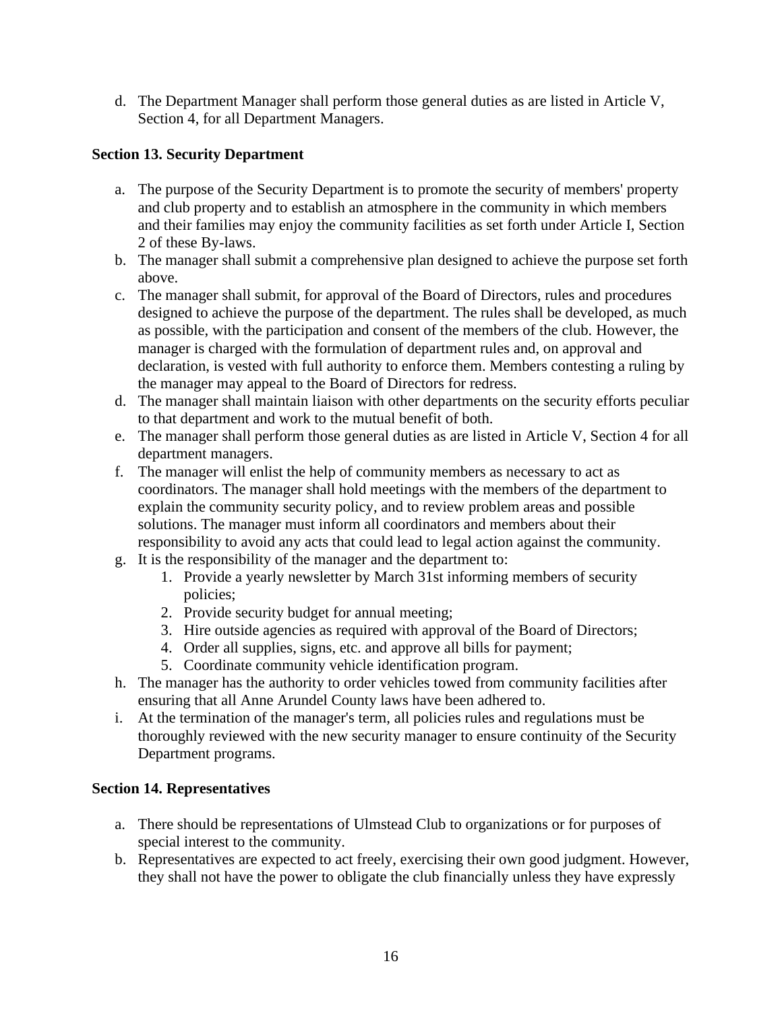d. The Department Manager shall perform those general duties as are listed in Article V, Section 4, for all Department Managers.

## <span id="page-17-0"></span>**Section 13. Security Department**

- a. The purpose of the Security Department is to promote the security of members' property and club property and to establish an atmosphere in the community in which members and their families may enjoy the community facilities as set forth under Article I, Section 2 of these By-laws.
- b. The manager shall submit a comprehensive plan designed to achieve the purpose set forth above.
- c. The manager shall submit, for approval of the Board of Directors, rules and procedures designed to achieve the purpose of the department. The rules shall be developed, as much as possible, with the participation and consent of the members of the club. However, the manager is charged with the formulation of department rules and, on approval and declaration, is vested with full authority to enforce them. Members contesting a ruling by the manager may appeal to the Board of Directors for redress.
- d. The manager shall maintain liaison with other departments on the security efforts peculiar to that department and work to the mutual benefit of both.
- e. The manager shall perform those general duties as are listed in Article V, Section 4 for all department managers.
- f. The manager will enlist the help of community members as necessary to act as coordinators. The manager shall hold meetings with the members of the department to explain the community security policy, and to review problem areas and possible solutions. The manager must inform all coordinators and members about their responsibility to avoid any acts that could lead to legal action against the community.
- g. It is the responsibility of the manager and the department to:
	- 1. Provide a yearly newsletter by March 31st informing members of security policies;
	- 2. Provide security budget for annual meeting;
	- 3. Hire outside agencies as required with approval of the Board of Directors;
	- 4. Order all supplies, signs, etc. and approve all bills for payment;
	- 5. Coordinate community vehicle identification program.
- h. The manager has the authority to order vehicles towed from community facilities after ensuring that all Anne Arundel County laws have been adhered to.
- i. At the termination of the manager's term, all policies rules and regulations must be thoroughly reviewed with the new security manager to ensure continuity of the Security Department programs.

### <span id="page-17-1"></span>**Section 14. Representatives**

- a. There should be representations of Ulmstead Club to organizations or for purposes of special interest to the community.
- b. Representatives are expected to act freely, exercising their own good judgment. However, they shall not have the power to obligate the club financially unless they have expressly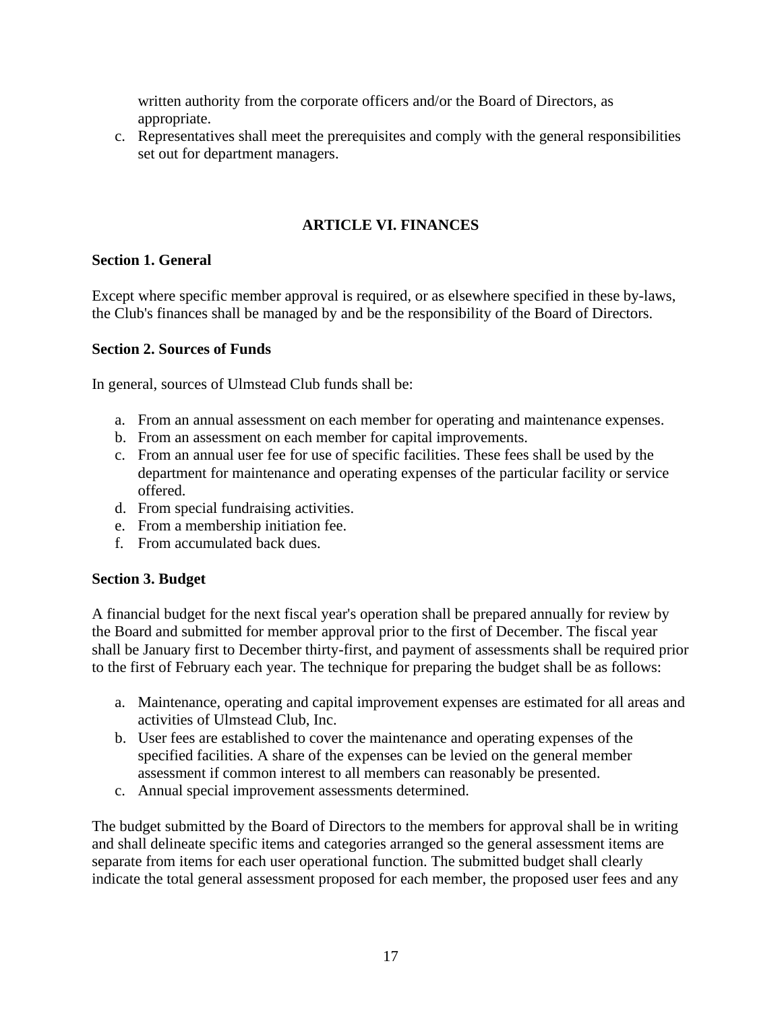written authority from the corporate officers and/or the Board of Directors, as appropriate.

c. Representatives shall meet the prerequisites and comply with the general responsibilities set out for department managers.

# **ARTICLE VI. FINANCES**

## <span id="page-18-1"></span><span id="page-18-0"></span>**Section 1. General**

Except where specific member approval is required, or as elsewhere specified in these by-laws, the Club's finances shall be managed by and be the responsibility of the Board of Directors.

## <span id="page-18-2"></span>**Section 2. Sources of Funds**

In general, sources of Ulmstead Club funds shall be:

- a. From an annual assessment on each member for operating and maintenance expenses.
- b. From an assessment on each member for capital improvements.
- c. From an annual user fee for use of specific facilities. These fees shall be used by the department for maintenance and operating expenses of the particular facility or service offered.
- d. From special fundraising activities.
- e. From a membership initiation fee.
- f. From accumulated back dues.

## <span id="page-18-3"></span>**Section 3. Budget**

A financial budget for the next fiscal year's operation shall be prepared annually for review by the Board and submitted for member approval prior to the first of December. The fiscal year shall be January first to December thirty-first, and payment of assessments shall be required prior to the first of February each year. The technique for preparing the budget shall be as follows:

- a. Maintenance, operating and capital improvement expenses are estimated for all areas and activities of Ulmstead Club, Inc.
- b. User fees are established to cover the maintenance and operating expenses of the specified facilities. A share of the expenses can be levied on the general member assessment if common interest to all members can reasonably be presented.
- c. Annual special improvement assessments determined.

The budget submitted by the Board of Directors to the members for approval shall be in writing and shall delineate specific items and categories arranged so the general assessment items are separate from items for each user operational function. The submitted budget shall clearly indicate the total general assessment proposed for each member, the proposed user fees and any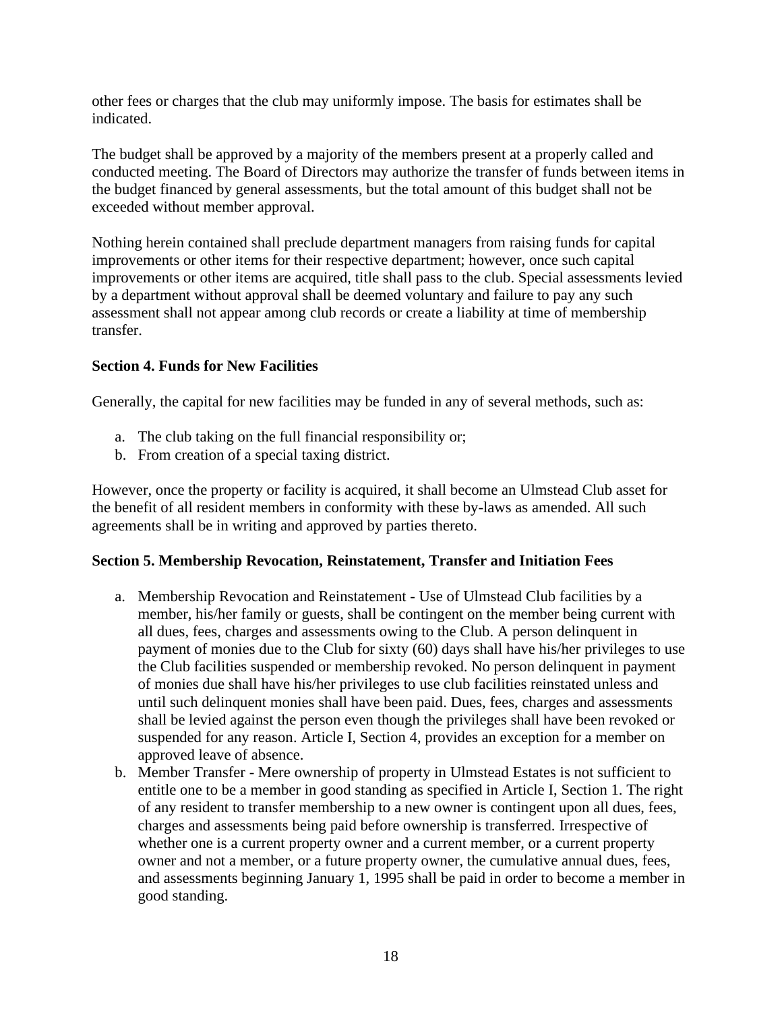other fees or charges that the club may uniformly impose. The basis for estimates shall be indicated.

The budget shall be approved by a majority of the members present at a properly called and conducted meeting. The Board of Directors may authorize the transfer of funds between items in the budget financed by general assessments, but the total amount of this budget shall not be exceeded without member approval.

Nothing herein contained shall preclude department managers from raising funds for capital improvements or other items for their respective department; however, once such capital improvements or other items are acquired, title shall pass to the club. Special assessments levied by a department without approval shall be deemed voluntary and failure to pay any such assessment shall not appear among club records or create a liability at time of membership transfer.

## <span id="page-19-0"></span>**Section 4. Funds for New Facilities**

Generally, the capital for new facilities may be funded in any of several methods, such as:

- a. The club taking on the full financial responsibility or;
- b. From creation of a special taxing district.

However, once the property or facility is acquired, it shall become an Ulmstead Club asset for the benefit of all resident members in conformity with these by-laws as amended. All such agreements shall be in writing and approved by parties thereto.

### <span id="page-19-1"></span>**Section 5. Membership Revocation, Reinstatement, Transfer and Initiation Fees**

- a. Membership Revocation and Reinstatement Use of Ulmstead Club facilities by a member, his/her family or guests, shall be contingent on the member being current with all dues, fees, charges and assessments owing to the Club. A person delinquent in payment of monies due to the Club for sixty (60) days shall have his/her privileges to use the Club facilities suspended or membership revoked. No person delinquent in payment of monies due shall have his/her privileges to use club facilities reinstated unless and until such delinquent monies shall have been paid. Dues, fees, charges and assessments shall be levied against the person even though the privileges shall have been revoked or suspended for any reason. Article I, Section 4, provides an exception for a member on approved leave of absence.
- b. Member Transfer Mere ownership of property in Ulmstead Estates is not sufficient to entitle one to be a member in good standing as specified in Article I, Section 1. The right of any resident to transfer membership to a new owner is contingent upon all dues, fees, charges and assessments being paid before ownership is transferred. Irrespective of whether one is a current property owner and a current member, or a current property owner and not a member, or a future property owner, the cumulative annual dues, fees, and assessments beginning January 1, 1995 shall be paid in order to become a member in good standing.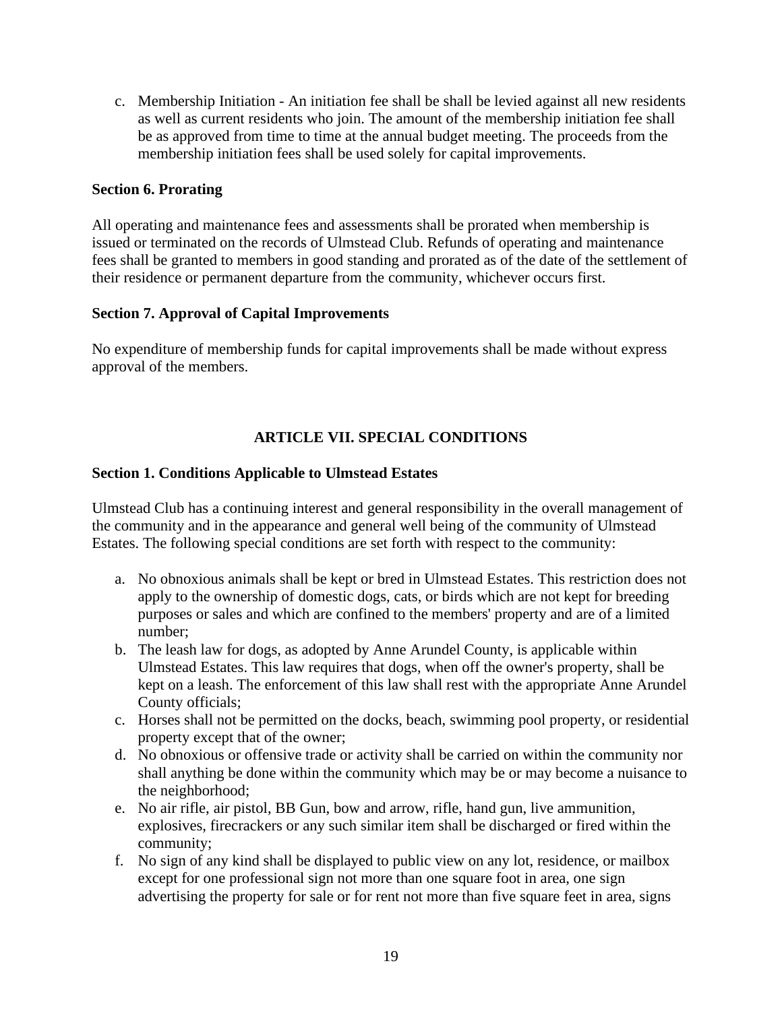c. Membership Initiation - An initiation fee shall be shall be levied against all new residents as well as current residents who join. The amount of the membership initiation fee shall be as approved from time to time at the annual budget meeting. The proceeds from the membership initiation fees shall be used solely for capital improvements.

## <span id="page-20-0"></span>**Section 6. Prorating**

All operating and maintenance fees and assessments shall be prorated when membership is issued or terminated on the records of Ulmstead Club. Refunds of operating and maintenance fees shall be granted to members in good standing and prorated as of the date of the settlement of their residence or permanent departure from the community, whichever occurs first.

## <span id="page-20-1"></span>**Section 7. Approval of Capital Improvements**

No expenditure of membership funds for capital improvements shall be made without express approval of the members.

# **ARTICLE VII. SPECIAL CONDITIONS**

## <span id="page-20-3"></span><span id="page-20-2"></span>**Section 1. Conditions Applicable to Ulmstead Estates**

Ulmstead Club has a continuing interest and general responsibility in the overall management of the community and in the appearance and general well being of the community of Ulmstead Estates. The following special conditions are set forth with respect to the community:

- a. No obnoxious animals shall be kept or bred in Ulmstead Estates. This restriction does not apply to the ownership of domestic dogs, cats, or birds which are not kept for breeding purposes or sales and which are confined to the members' property and are of a limited number;
- b. The leash law for dogs, as adopted by Anne Arundel County, is applicable within Ulmstead Estates. This law requires that dogs, when off the owner's property, shall be kept on a leash. The enforcement of this law shall rest with the appropriate Anne Arundel County officials;
- c. Horses shall not be permitted on the docks, beach, swimming pool property, or residential property except that of the owner;
- d. No obnoxious or offensive trade or activity shall be carried on within the community nor shall anything be done within the community which may be or may become a nuisance to the neighborhood;
- e. No air rifle, air pistol, BB Gun, bow and arrow, rifle, hand gun, live ammunition, explosives, firecrackers or any such similar item shall be discharged or fired within the community;
- f. No sign of any kind shall be displayed to public view on any lot, residence, or mailbox except for one professional sign not more than one square foot in area, one sign advertising the property for sale or for rent not more than five square feet in area, signs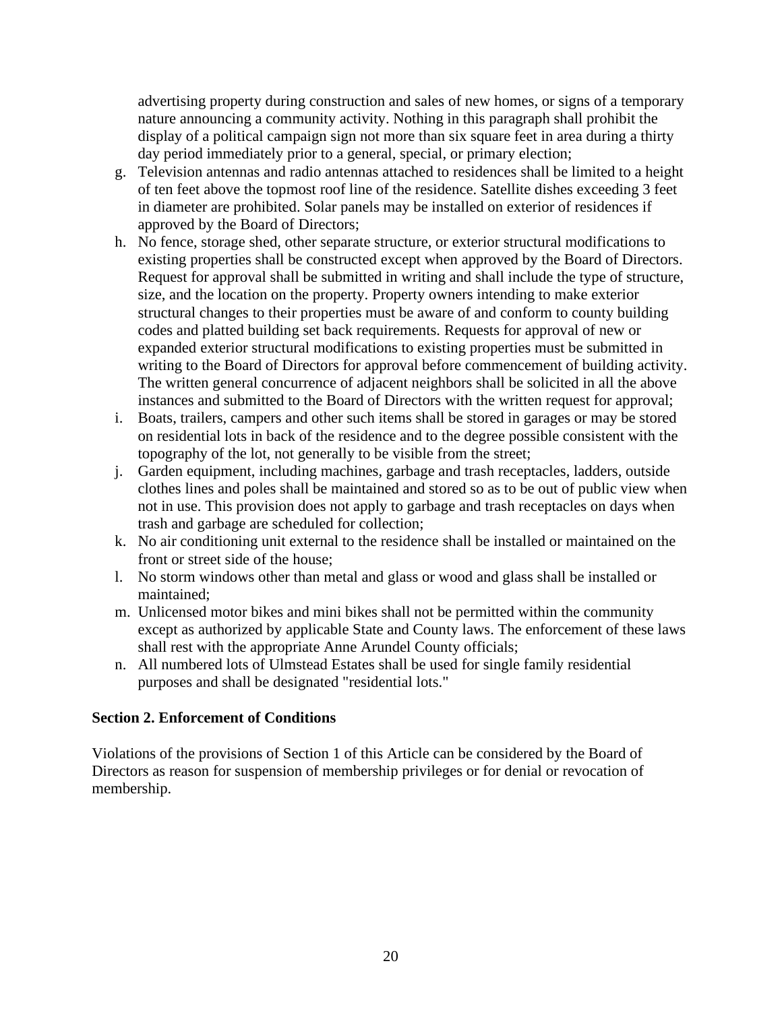advertising property during construction and sales of new homes, or signs of a temporary nature announcing a community activity. Nothing in this paragraph shall prohibit the display of a political campaign sign not more than six square feet in area during a thirty day period immediately prior to a general, special, or primary election;

- g. Television antennas and radio antennas attached to residences shall be limited to a height of ten feet above the topmost roof line of the residence. Satellite dishes exceeding 3 feet in diameter are prohibited. Solar panels may be installed on exterior of residences if approved by the Board of Directors;
- h. No fence, storage shed, other separate structure, or exterior structural modifications to existing properties shall be constructed except when approved by the Board of Directors. Request for approval shall be submitted in writing and shall include the type of structure, size, and the location on the property. Property owners intending to make exterior structural changes to their properties must be aware of and conform to county building codes and platted building set back requirements. Requests for approval of new or expanded exterior structural modifications to existing properties must be submitted in writing to the Board of Directors for approval before commencement of building activity. The written general concurrence of adjacent neighbors shall be solicited in all the above instances and submitted to the Board of Directors with the written request for approval;
- i. Boats, trailers, campers and other such items shall be stored in garages or may be stored on residential lots in back of the residence and to the degree possible consistent with the topography of the lot, not generally to be visible from the street;
- j. Garden equipment, including machines, garbage and trash receptacles, ladders, outside clothes lines and poles shall be maintained and stored so as to be out of public view when not in use. This provision does not apply to garbage and trash receptacles on days when trash and garbage are scheduled for collection;
- k. No air conditioning unit external to the residence shall be installed or maintained on the front or street side of the house;
- l. No storm windows other than metal and glass or wood and glass shall be installed or maintained;
- m. Unlicensed motor bikes and mini bikes shall not be permitted within the community except as authorized by applicable State and County laws. The enforcement of these laws shall rest with the appropriate Anne Arundel County officials;
- n. All numbered lots of Ulmstead Estates shall be used for single family residential purposes and shall be designated "residential lots."

### <span id="page-21-0"></span>**Section 2. Enforcement of Conditions**

Violations of the provisions of Section 1 of this Article can be considered by the Board of Directors as reason for suspension of membership privileges or for denial or revocation of membership.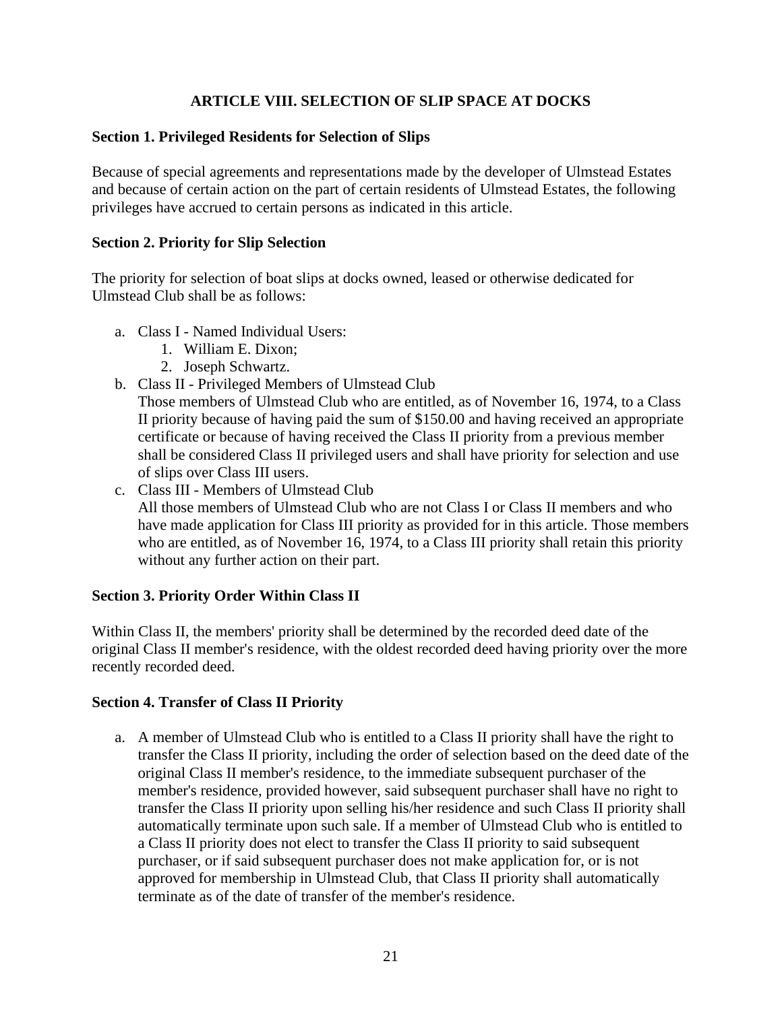# **ARTICLE VIII. SELECTION OF SLIP SPACE AT DOCKS**

## <span id="page-22-1"></span><span id="page-22-0"></span>**Section 1. Privileged Residents for Selection of Slips**

Because of special agreements and representations made by the developer of Ulmstead Estates and because of certain action on the part of certain residents of Ulmstead Estates, the following privileges have accrued to certain persons as indicated in this article.

### <span id="page-22-2"></span>**Section 2. Priority for Slip Selection**

The priority for selection of boat slips at docks owned, leased or otherwise dedicated for Ulmstead Club shall be as follows:

- a. Class I Named Individual Users:
	- 1. William E. Dixon;
	- 2. Joseph Schwartz.
- b. Class II Privileged Members of Ulmstead Club

Those members of Ulmstead Club who are entitled, as of November 16, 1974, to a Class II priority because of having paid the sum of \$150.00 and having received an appropriate certificate or because of having received the Class II priority from a previous member shall be considered Class II privileged users and shall have priority for selection and use of slips over Class III users.

c. Class III - Members of Ulmstead Club All those members of Ulmstead Club who are not Class I or Class II members and who have made application for Class III priority as provided for in this article. Those members who are entitled, as of November 16, 1974, to a Class III priority shall retain this priority without any further action on their part.

## <span id="page-22-3"></span>**Section 3. Priority Order Within Class II**

Within Class II, the members' priority shall be determined by the recorded deed date of the original Class II member's residence, with the oldest recorded deed having priority over the more recently recorded deed.

### <span id="page-22-4"></span>**Section 4. Transfer of Class II Priority**

a. A member of Ulmstead Club who is entitled to a Class II priority shall have the right to transfer the Class II priority, including the order of selection based on the deed date of the original Class II member's residence, to the immediate subsequent purchaser of the member's residence, provided however, said subsequent purchaser shall have no right to transfer the Class II priority upon selling his/her residence and such Class II priority shall automatically terminate upon such sale. If a member of Ulmstead Club who is entitled to a Class II priority does not elect to transfer the Class II priority to said subsequent purchaser, or if said subsequent purchaser does not make application for, or is not approved for membership in Ulmstead Club, that Class II priority shall automatically terminate as of the date of transfer of the member's residence.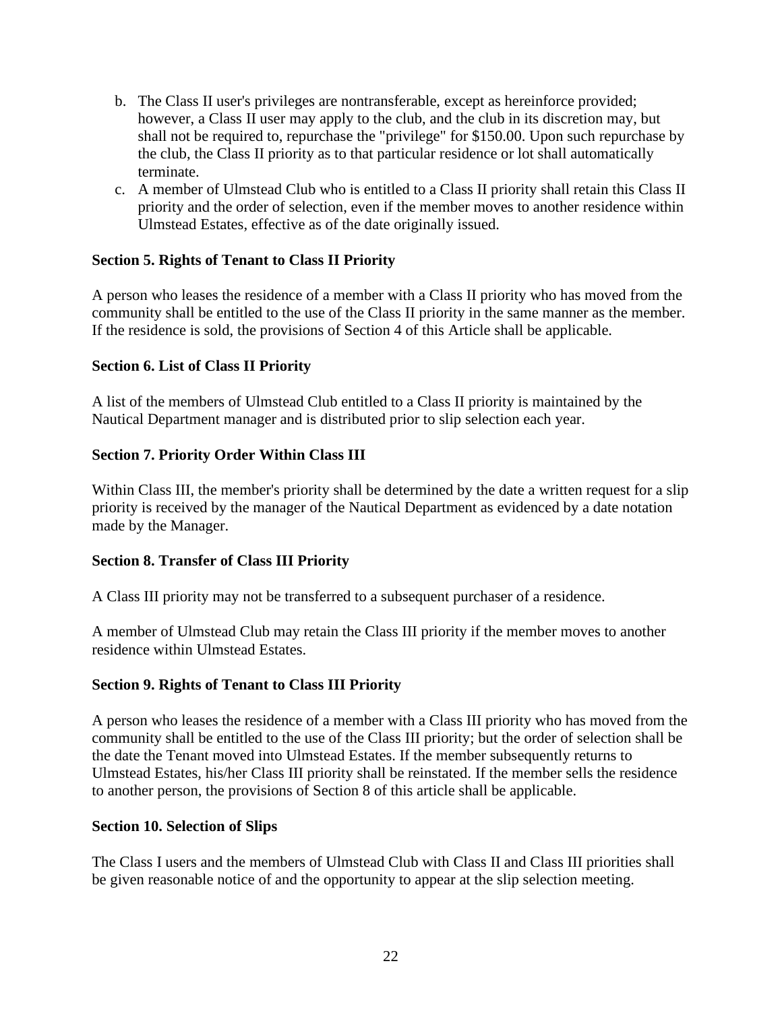- b. The Class II user's privileges are nontransferable, except as hereinforce provided; however, a Class II user may apply to the club, and the club in its discretion may, but shall not be required to, repurchase the "privilege" for \$150.00. Upon such repurchase by the club, the Class II priority as to that particular residence or lot shall automatically terminate.
- c. A member of Ulmstead Club who is entitled to a Class II priority shall retain this Class II priority and the order of selection, even if the member moves to another residence within Ulmstead Estates, effective as of the date originally issued.

## <span id="page-23-0"></span>**Section 5. Rights of Tenant to Class II Priority**

A person who leases the residence of a member with a Class II priority who has moved from the community shall be entitled to the use of the Class II priority in the same manner as the member. If the residence is sold, the provisions of Section 4 of this Article shall be applicable.

### <span id="page-23-1"></span>**Section 6. List of Class II Priority**

A list of the members of Ulmstead Club entitled to a Class II priority is maintained by the Nautical Department manager and is distributed prior to slip selection each year.

## <span id="page-23-2"></span>**Section 7. Priority Order Within Class III**

Within Class III, the member's priority shall be determined by the date a written request for a slip priority is received by the manager of the Nautical Department as evidenced by a date notation made by the Manager.

### <span id="page-23-3"></span>**Section 8. Transfer of Class III Priority**

A Class III priority may not be transferred to a subsequent purchaser of a residence.

A member of Ulmstead Club may retain the Class III priority if the member moves to another residence within Ulmstead Estates.

### <span id="page-23-4"></span>**Section 9. Rights of Tenant to Class III Priority**

A person who leases the residence of a member with a Class III priority who has moved from the community shall be entitled to the use of the Class III priority; but the order of selection shall be the date the Tenant moved into Ulmstead Estates. If the member subsequently returns to Ulmstead Estates, his/her Class III priority shall be reinstated. If the member sells the residence to another person, the provisions of Section 8 of this article shall be applicable.

### <span id="page-23-5"></span>**Section 10. Selection of Slips**

The Class I users and the members of Ulmstead Club with Class II and Class III priorities shall be given reasonable notice of and the opportunity to appear at the slip selection meeting.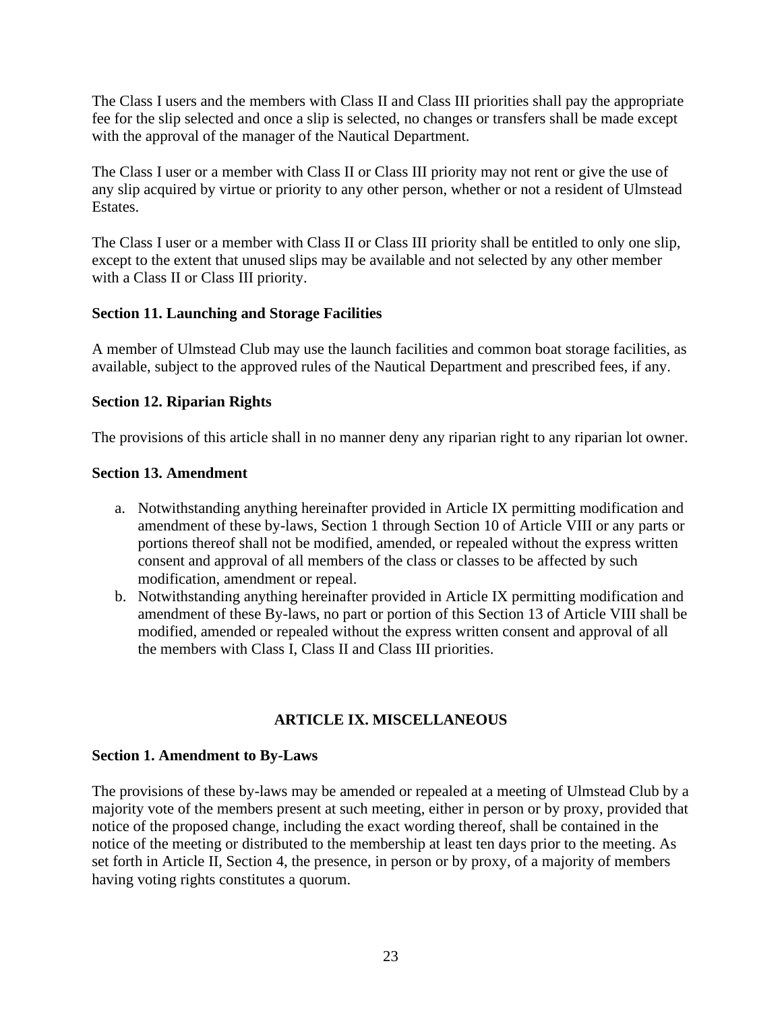The Class I users and the members with Class II and Class III priorities shall pay the appropriate fee for the slip selected and once a slip is selected, no changes or transfers shall be made except with the approval of the manager of the Nautical Department.

The Class I user or a member with Class II or Class III priority may not rent or give the use of any slip acquired by virtue or priority to any other person, whether or not a resident of Ulmstead Estates.

The Class I user or a member with Class II or Class III priority shall be entitled to only one slip, except to the extent that unused slips may be available and not selected by any other member with a Class II or Class III priority.

## <span id="page-24-0"></span>**Section 11. Launching and Storage Facilities**

A member of Ulmstead Club may use the launch facilities and common boat storage facilities, as available, subject to the approved rules of the Nautical Department and prescribed fees, if any.

## <span id="page-24-1"></span>**Section 12. Riparian Rights**

The provisions of this article shall in no manner deny any riparian right to any riparian lot owner.

### <span id="page-24-2"></span>**Section 13. Amendment**

- a. Notwithstanding anything hereinafter provided in Article IX permitting modification and amendment of these by-laws, Section 1 through Section 10 of Article VIII or any parts or portions thereof shall not be modified, amended, or repealed without the express written consent and approval of all members of the class or classes to be affected by such modification, amendment or repeal.
- b. Notwithstanding anything hereinafter provided in Article IX permitting modification and amendment of these By-laws, no part or portion of this Section 13 of Article VIII shall be modified, amended or repealed without the express written consent and approval of all the members with Class I, Class II and Class III priorities.

## **ARTICLE IX. MISCELLANEOUS**

### <span id="page-24-4"></span><span id="page-24-3"></span>**Section 1. Amendment to By-Laws**

The provisions of these by-laws may be amended or repealed at a meeting of Ulmstead Club by a majority vote of the members present at such meeting, either in person or by proxy, provided that notice of the proposed change, including the exact wording thereof, shall be contained in the notice of the meeting or distributed to the membership at least ten days prior to the meeting. As set forth in Article II, Section 4, the presence, in person or by proxy, of a majority of members having voting rights constitutes a quorum.